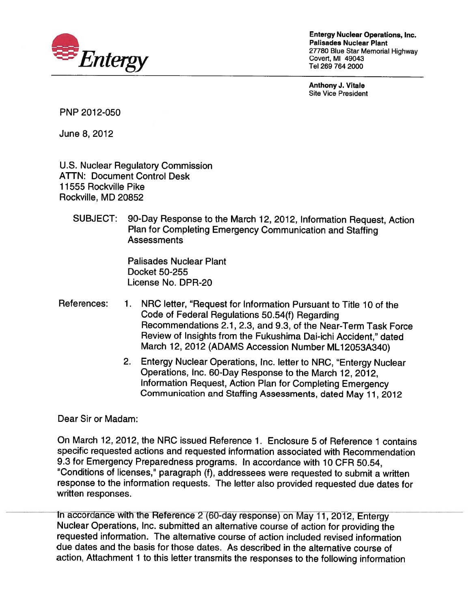

Entergy Nuclear Operations, Inc. Palisades Nuclear Plant 27780 Blue Star Memorial Highway Covert, Ml 49043

Anthony J. Vitale Site Vice President

PNP 2012-050

June 8,2012

U.S. Nuclear Regulatory Commission ATTN: Document Control Desk 11555 Rockville Pike Rockville, MD 20852

SUBJECT: 90-Day Response to the March 12, 2012, Information Request, Action Plan for Completing Emergency Communication and Staffing **Assessments** 

> Palisades Nuclear Plant Docket 50-255 License No. DPR-20

- References: 1. NRC letter, "Request for Information Pursuant to Title 10 of the Code of Federal Regulations 50.54(f) Regarding Recommendations 2.1, 2.3, and 9.3, of the Near-Term Task Force Review of Insights from the Fukushima Dai-ichi Accident," dated March 12, 2012 (ADAMS Accession Number ML12053A340)
	- 2. Entergy Nuclear Operations, Inc. letter to NRC, "Entergy Nuclear Operations, Inc. 60-Day Response to the March 12, 2012, Information Request, Action Plan for Completing Emergency Communication and Staffing Assessments, dated May 11, 2012

Dear Sir or Madam:

On March 12, 2012, the NRC issued Reference 1. Enclosure 5 of Reference <sup>1</sup> contains specific requested actions and requested information associated with Recommendation 9.3 for Emergency Preparedness programs. In accordance with 10 CFR 50.54, "Conditions of licenses," paragraph (f), addressees were requested to submit a written response to the information requests. The letter also provided requested due dates for written responses.

In accordance with the Reference 2 (60-day response) on May 11, 2012, Entergy Nuclear Operations, Inc. submitted an alternative course of action for providing the requested information. The alternative course of action included revised information due dates and the basis for those dates. As described in the alternative course of action, Attachment <sup>1</sup> to this letter transmits the responses to the following information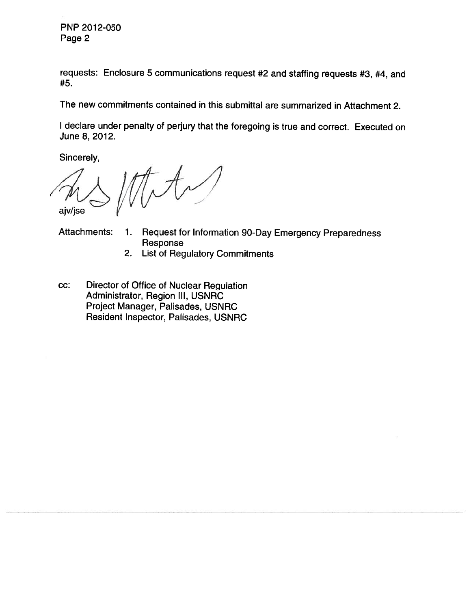PNP 2012-050 Page 2

requests: Enclosure <sup>5</sup> communications request #2 and staffing requests #3, #4, and #5.

The new commitments contained in this submittal are summarized in Attachment 2.

<sup>I</sup> declare under penalty of perjury that the foregoing is true and correct. Executed on June 8, 2012.

Sincerely,

tety ajv/jse

- Attachments: 1. Request for Information 90-Day Emergency Preparedness Response
	- 2. List of Regulatory Commitments
- cc: Director of Office of Nuclear Regulation Administrator, Region Ill, USNRC Project Manager, Palisades, USNRC Resident Inspector, Palisades, USNRC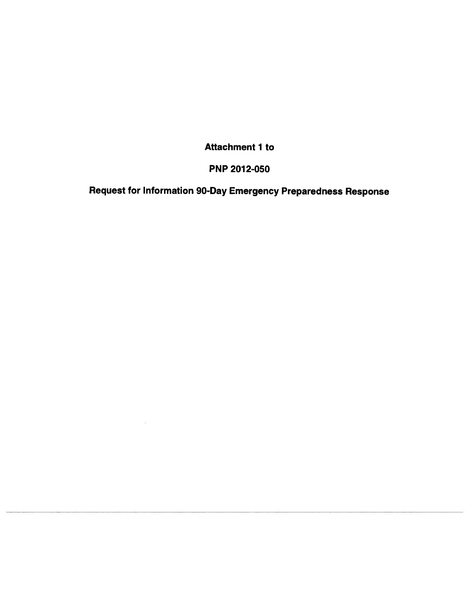Attachment <sup>1</sup> to

# **PNP 2012-050**

Request for Information 90-Day Emergency Preparedness Response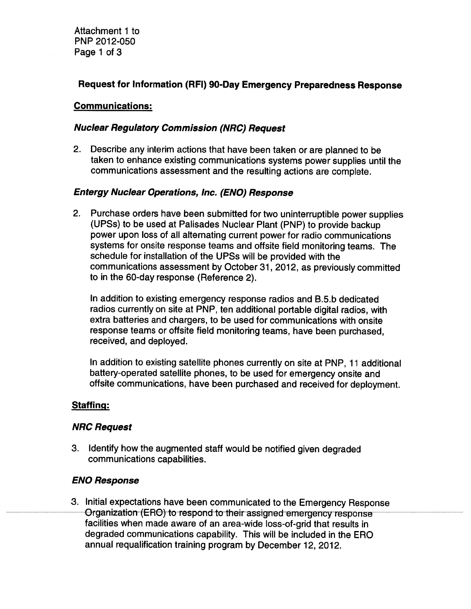Attachment <sup>1</sup> to PNP 2012-050 Page <sup>1</sup> of 3

# Request for Information (RFI) 90-Day Emergency Preparedness Response

#### Communications:

#### Nuclear Regulatory Commission (NRC) Request

2. Describe any interim actions that have been taken or are planned to be taken to enhance existing communications systems power supplies until the communications assessment and the resulting actions are complete.

#### Entergy Nuclear Operations, Inc. (ENO) Response

2. Purchase orders have been submitted for two uninterruptible power supplies (UPSs) to be used at Palisades Nuclear Plant (PNP) to provide backup power upon loss of all alternating current power for radio communications systems for onsite response teams and offsite field monitoring teams. The schedule for installation of the UPSs will be provided with the communications assessment by October 31, 2012, as previously committed to in the 60-day response (Reference 2).

In addition to existing emergency response radios and B.5.b dedicated radios currently on site at PNP, ten additional portable digital radios, with extra batteries and chargers, to be used for communications with onsite response teams or offsite field monitoring teams, have been purchased, received, and deployed.

In addition to existing satellite phones currently on site at PNP, <sup>11</sup> additional battery-operated satellite phones, to be used for emergency onsite and offsite communications, have been purchased and received for deployment.

#### Staffing:

#### NRC Request

3. Identify how the augmented staff would be notified given degraded communications capabilities.

#### ENO Response

3. Initial expectations have been communicated to the Emergency Response Organization (ERO) to respond to their assigned emergency response facilities when made aware of an area-wide loss-of-grid that results in degraded communications capability. This will be included in the ERO annual requalification training program by December 12, 2012.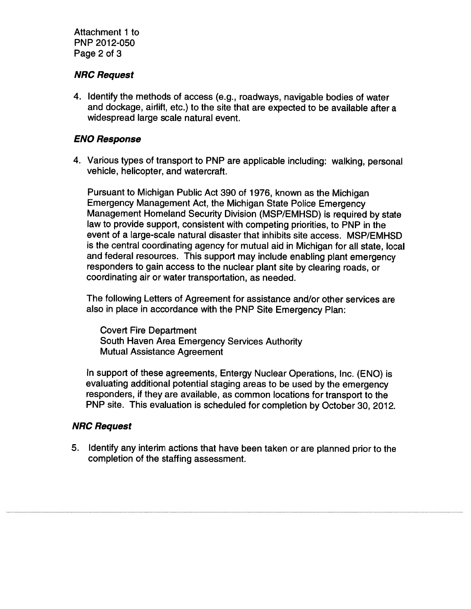Attachment <sup>1</sup> to PNP 2012-050 Page 2 of 3

#### NRC Request

4. Identify the methods of access (e.g., roadways, navigable bodies of water and dockage, airlift, etc.) to the site that are expected to be available after a widespread large scale natural event.

## ENO Response

4. Various types of transport to PNP are applicable including: walking, personal vehicle, helicopter, and watercraft.

Pursuant to Michigan Public Act 390 of 1976, known as the Michigan Emergency Management Act, the Michigan State Police Emergency Management Homeland Security Division (MSP/EMHSD) is required by state law to provide support, consistent with competing priorities, to PNP in the event of a large-scale natural disaster that inhibits site access. MSP/EMHSD is the central coordinating agency for mutual aid in Michigan for all state, local and federal resources. This support may include enabling plant emergency responders to gain access to the nuclear plant site by clearing roads, or coordinating air or water transportation, as needed.

The following Letters of Agreement for assistance and/or other services are also in place in accordance with the PNP Site Emergency Plan:

Covert Fire Department South Haven Area Emergency Services Authority Mutual Assistance Agreement

In support of these agreements, Entergy Nuclear Operations, Inc. (ENO) is evaluating additional potential staging areas to be used by the emergency responders, if they are available, as common locations for transport to the PNP site. This evaluation is scheduled for completion by October 30, 2012.

#### NRC Request

5. Identify any interim actions that have been taken or are planned prior to the completion of the staffing assessment.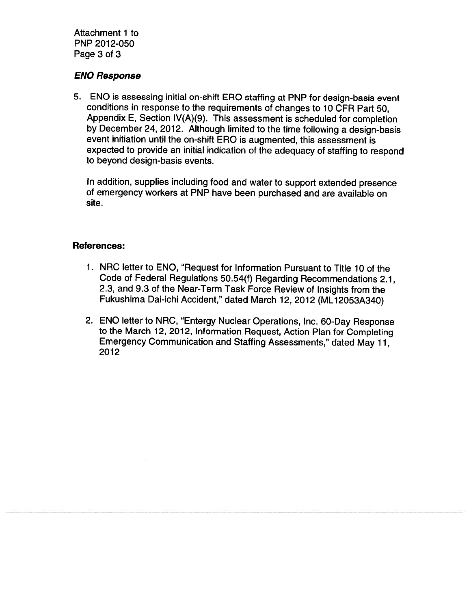Attachment <sup>1</sup> to PNP 2012-050 Page 3 of 3

### ENO Response

5. ENO is assessing initial on-shift ERO staffing at PNP for design-basis event conditions in response to the requirements of changes to 10 CFR Part 50, Appendix E, Section lV(A)(9). This assessment is scheduled for completion by December 24, 2012. Although limited to the time following a design-basis event initiation until the on-shift ERO is augmented, this assessment is expected to provide an initial indication of the adequacy of staffing to respond to beyond design-basis events.

In addition, supplies including food and water to support extended presence of emergency workers at PNP have been purchased and are available on site.

#### References:

- 1. NRC letter to ENO, "Request for Information Pursuant to Title 10 of the Code of Federal Regulations 50.54(f) Regarding Recommendations 2.1, 2.3, and 9.3 of the Near-Term Task Force Review of Insights from the Fukushima Dai-ichi Accident," dated March 12, 2012 (ML12053A340)
- 2. ENO letter to NRC, "Entergy Nuclear Operations, Inc. 60-Day Response to the March 12, 2012, Information Request, Action Plan for Completing Emergency Communication and Staffing Assessments," dated May 11, 2012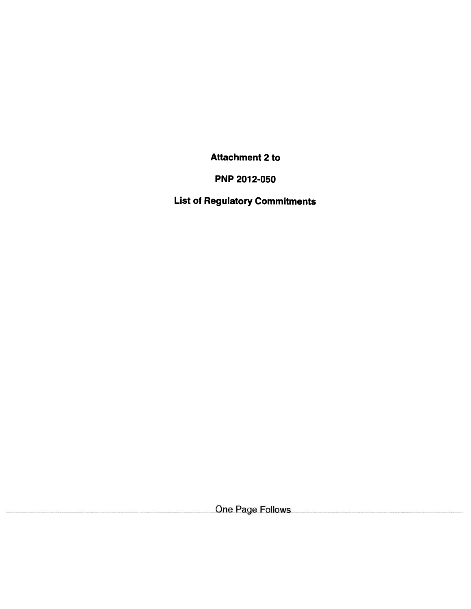Attachment 2 to

PNP 2012-050

List of Regulatory Commitments

One Page Follows